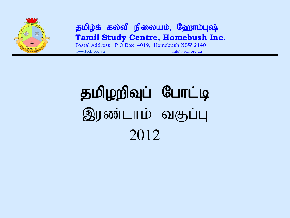

#### தமிழ்க் கல்வி நிலையம், ஹோம்புஷ் **Tamil Study Centre, Homebush Inc.**

Postal Address: P O Box 4019, Homebush NSW 2140 www.tsch.org.au info@tsch.org.au info@tsch.org.au

# தமிழறிவுப் போட்டி இரண்டாம் வகுப்பு 2012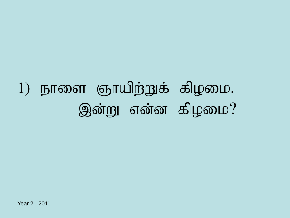# $1)$  நாளை ஞாயிற்றுக் கிழமை. இன்று என்ன கிழமை?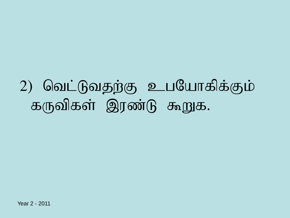### 2) வெட்டுவதற்கு உபயோகிக்கும் கருவிகள் இரண்டு கூறுக.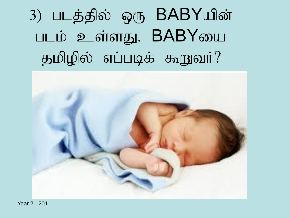3) படத்தில் ஒரு BABYயின் படம் உள்ளது. BABYயை தமிழில் எப்படிக் கூறுவர்?

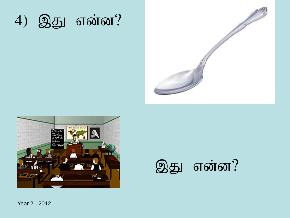





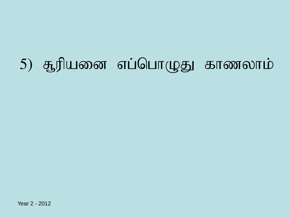# 5) சூரியனை எப்பொழுது காணலாம்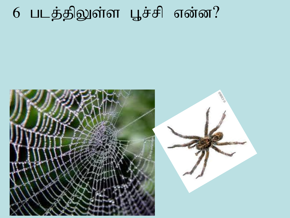## $6$  படத்திலுள்ள பூச்சி என்ன?

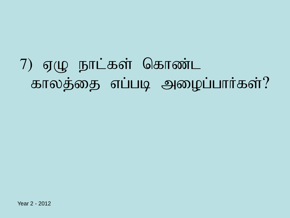## $7)$  ஏழு நாட்கள் கொண்ட காலத்தை எப்படி அழைப்பார்கள்?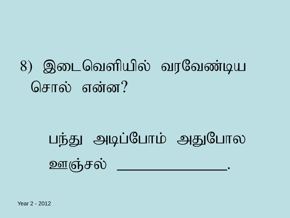## 8) இடைவெளியில் வரவேண்டிய சொல் என்ன?

# பந்து அடிப்போம் அதுபோல <u> ஊஞ்சல் — — </u>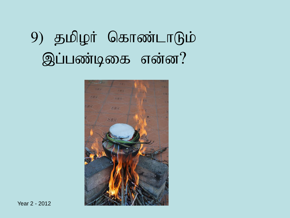## 9) தமிழர் கொண்டாடும் இப்பண்டிகை என்ன?

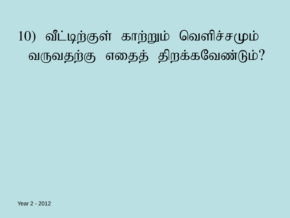10) வீட்டிற்குள் காற்றும் வெளிச்சமும் வருவதற்கு எதைத் திறக்கவேண்டும்?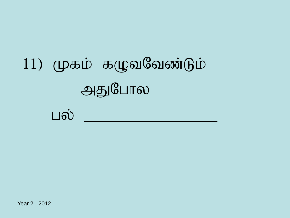# $11)$  முகம் கழுவவேண்டும் அதுபோல

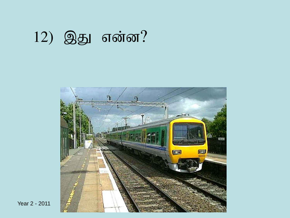## 12) இது என்ன?

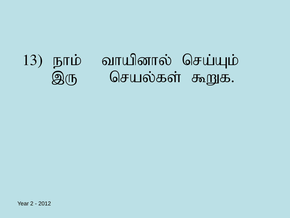#### வாயினால் செய்யும் 13) நாம்  $\mathfrak{D}(\mathbb{F})$ செயல்கள் கூறுக.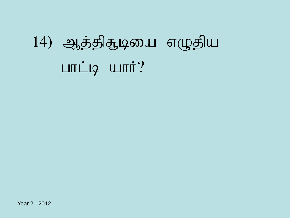# 14) ஆத்திசூடியை எழுதிய  $L$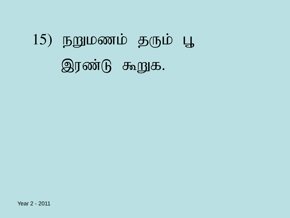Year 2 - 2011

# $15)$  நறுமணம் தரும் பூ இரண்டு கூறுக.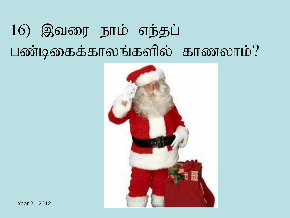## 16) இவரை நாம் எந்தப் பண்டிகைக்காலங்களில் காணலாம்?

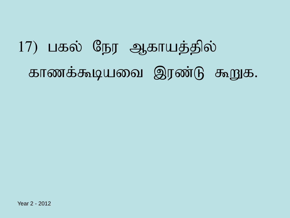# 17) பகல் நேர ஆகாயத்தில் காணக்கூடியவை இரண்டு கூறுக.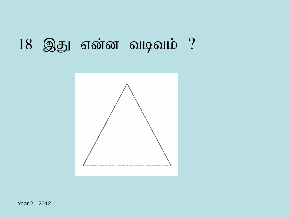#### $18$  இது என்ன வடிவம்?

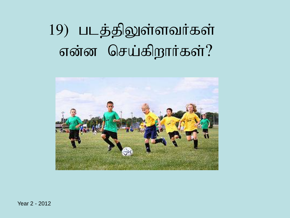## 19) படத்திலுள்ளவர்கள் என்ன செய்கிறார்கள்?

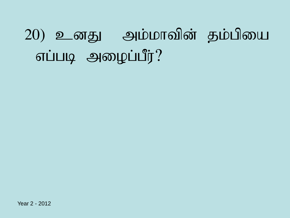# 20) உனது அம்மாவின் தம்பியை எப்படி அழைப்பீர்?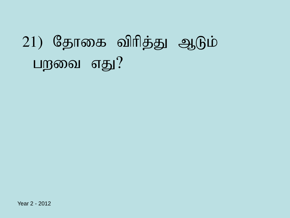# $(21)$  தோகை விரித்து ஆடும் பறவை எது $?$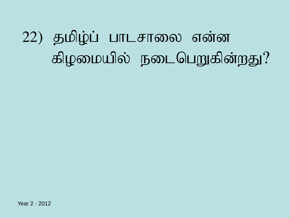# 22) தமிழ்ப் பாடசாலை என்ன கிழமையில் நடைபெறுகின்றது?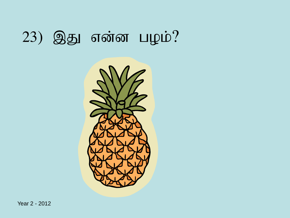### $(23)$  இது என்ன பழம்?

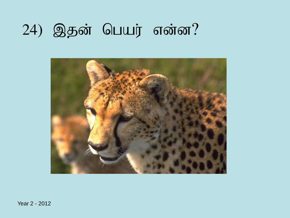#### 24) இதன் பெயர் என்ன?

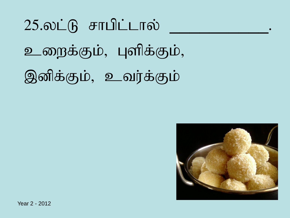$25.$ லட்டு சாபிட்டால் உறைக்கும், புளிக்கும், இனிக்கும், உவர்க்கும்